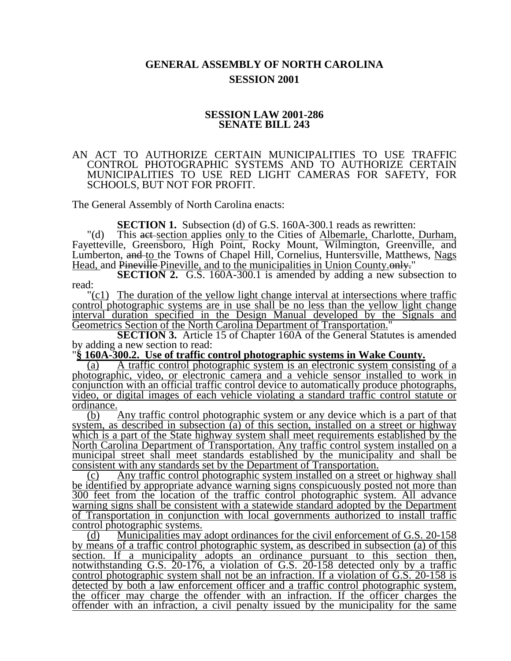## **GENERAL ASSEMBLY OF NORTH CAROLINA SESSION 2001**

## **SESSION LAW 2001-286 SENATE BILL 243**

## AN ACT TO AUTHORIZE CERTAIN MUNICIPALITIES TO USE TRAFFIC CONTROL PHOTOGRAPHIC SYSTEMS AND TO AUTHORIZE CERTAIN MUNICIPALITIES TO USE RED LIGHT CAMERAS FOR SAFETY, FOR SCHOOLS, BUT NOT FOR PROFIT.

The General Assembly of North Carolina enacts:

**SECTION 1.** Subsection (d) of G.S. 160A-300.1 reads as rewritten:

"(d) This act section applies only to the Cities of Albemarle, Charlotte, Durham, Fayetteville, Greensboro, High Point, Rocky Mount, Wilmington, Greenville, and Lumberton, and to the Towns of Chapel Hill, Cornelius, Huntersville, Matthews, Nags Head, and Pineville Pineville, and to the municipalities in Union County.

**SECTION 2.** G.S. 160A-300.1 is amended by adding a new subsection to read:

"(c1) The duration of the yellow light change interval at intersections where traffic control photographic systems are in use shall be no less than the yellow light change interval duration specified in the Design Manual developed by the Signals and Geometrics Section of the North Carolina Department of Transportation." **SECTION 3.** Article 15 of Chapter 160A of the General Statutes is amended

by adding a new section to read:

"**§ 160A-300.2. Use of traffic control photographic systems in Wake County.**

(a) A traffic control photographic system is an electronic system consisting of a photographic, video, or electronic camera and a vehicle sensor installed to work in conjunction with an official traffic control device to automatically produce photographs, video, or digital images of each vehicle violating a standard traffic control statute or ordinance.

(b) Any traffic control photographic system or any device which is a part of that system, as described in subsection (a) of this section, installed on a street or highway which is a part of the State highway system shall meet requirements established by the North Carolina Department of Transportation. Any traffic control system installed on a municipal street shall meet standards established by the municipality and shall be consistent with any standards set by the Department of Transportation.

(c) Any traffic control photographic system installed on a street or highway shall be identified by appropriate advance warning signs conspicuously posted not more than 300 feet from the location of the traffic control photographic system. All advance warning signs shall be consistent with a statewide standard adopted by the Department of Transportation in conjunction with local governments authorized to install traffic control photographic systems.

(d) Municipalities may adopt ordinances for the civil enforcement of G.S. 20-158 by means of a traffic control photographic system, as described in subsection (a) of this section. If a municipality adopts an ordinance pursuant to this section then, notwithstanding G.S. 20-176, a violation of G.S. 20-158 detected only by a traffic control photographic system shall not be an infraction. If a violation of G.S. 20-158 is detected by both a law enforcement officer and a traffic control photographic system, the officer may charge the offender with an infraction. If the officer charges the offender with an infraction, a civil penalty issued by the municipality for the same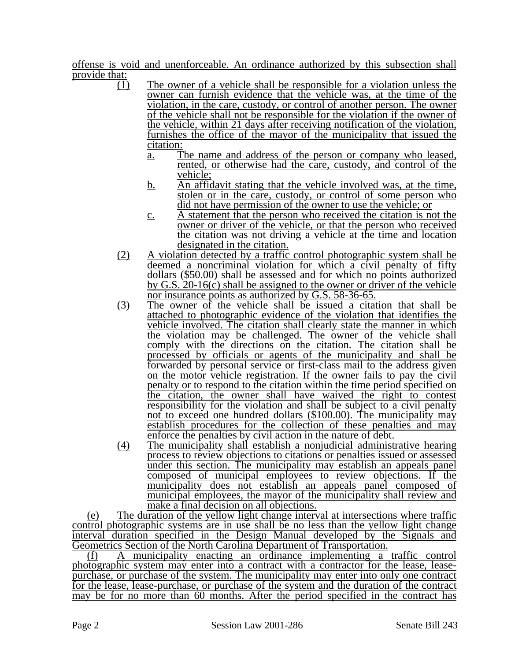offense is void and unenforceable. An ordinance authorized by this subsection shall provide that:

- (1) The owner of a vehicle shall be responsible for a violation unless the owner can furnish evidence that the vehicle was, at the time of the violation, in the care, custody, or control of another person. The owner of the vehicle shall not be responsible for the violation if the owner of the vehicle, within 21 days after receiving notification of the violation, furnishes the office of the mayor of the municipality that issued the citation:
	- a. The name and address of the person or company who leased, rented, or otherwise had the care, custody, and control of the vehicle;
	- b. An affidavit stating that the vehicle involved was, at the time, stolen or in the care, custody, or control of some person who did not have permission of the owner to use the vehicle; or
	- c. A statement that the person who received the citation is not the owner or driver of the vehicle, or that the person who received the citation was not driving a vehicle at the time and location designated in the citation.
- (2) A violation detected by a traffic control photographic system shall be deemed a noncriminal violation for which a civil penalty of fifty dollars (\$50.00) shall be assessed and for which no points authorized by G.S. 20-16(c) shall be assigned to the owner or driver of the vehicle nor insurance points as authorized by G.S. 58-36-65.
- (3) The owner of the vehicle shall be issued a citation that shall be attached to photographic evidence of the violation that identifies the vehicle involved. The citation shall clearly state the manner in which the violation may be challenged. The owner of the vehicle shall comply with the directions on the citation. The citation shall be processed by officials or agents of the municipality and shall be forwarded by personal service or first-class mail to the address given on the motor vehicle registration. If the owner fails to pay the civil penalty or to respond to the citation within the time period specified on the citation, the owner shall have waived the right to contest responsibility for the violation and shall be subject to a civil penalty not to exceed one hundred dollars (\$100.00). The municipality may establish procedures for the collection of these penalties and may enforce the penalties by civil action in the nature of debt.
- (4) The municipality shall establish a nonjudicial administrative hearing process to review objections to citations or penalties issued or assessed under this section. The municipality may establish an appeals panel composed of municipal employees to review objections. If the municipality does not establish an appeals panel composed of municipal employees, the mayor of the municipality shall review and make a final decision on all objections.

(e) The duration of the yellow light change interval at intersections where traffic control photographic systems are in use shall be no less than the yellow light change interval duration specified in the Design Manual developed by the Signals and Geometrics Section of the North Carolina Department of Transportation.

(f) A municipality enacting an ordinance implementing a traffic control photographic system may enter into a contract with a contractor for the lease, leasepurchase, or purchase of the system. The municipality may enter into only one contract for the lease, lease-purchase, or purchase of the system and the duration of the contract may be for no more than 60 months. After the period specified in the contract has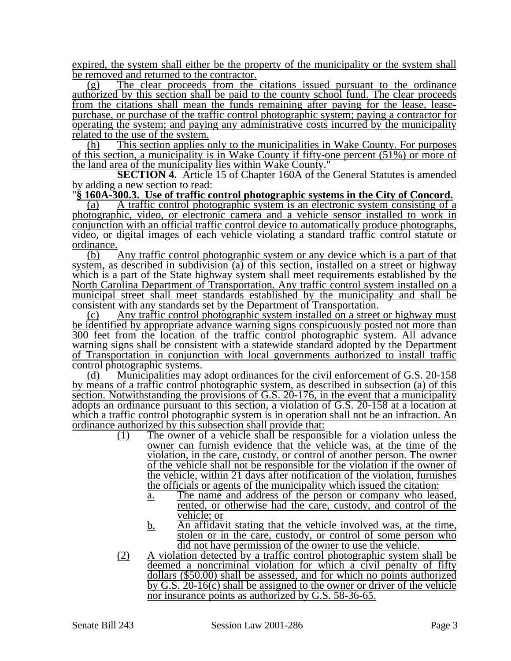expired, the system shall either be the property of the municipality or the system shall be removed and returned to the contractor.

(g) The clear proceeds from the citations issued pursuant to the ordinance authorized by this section shall be paid to the county school fund. The clear proceeds from the citations shall mean the funds remaining after paying for the lease, leasepurchase, or purchase of the traffic control photographic system; paying a contractor for operating the system; and paying any administrative costs incurred by the municipality related to the use of the system.

(h) This section applies only to the municipalities in Wake County. For purposes of this section, a municipality is in Wake County if fifty-one percent (51%) or more of the land area of the municipality lies within Wake County."

**SECTION 4.** Article 15 of Chapter 160A of the General Statutes is amended by adding a new section to read:

## "**§ 160A-300.3. Use of traffic control photographic systems in the City of Concord.**

(a) A traffic control photographic system is an electronic system consisting of a photographic, video, or electronic camera and a vehicle sensor installed to work in conjunction with an official traffic control device to automatically produce photographs, video, or digital images of each vehicle violating a standard traffic control statute or ordinance.

(b) Any traffic control photographic system or any device which is a part of that system, as described in subdivision (a) of this section, installed on a street or highway which is a part of the State highway system shall meet requirements established by the North Carolina Department of Transportation. Any traffic control system installed on a municipal street shall meet standards established by the municipality and shall be consistent with any standards set by the Department of Transportation.

(c) Any traffic control photographic system installed on a street or highway must be identified by appropriate advance warning signs conspicuously posted not more than 300 feet from the location of the traffic control photographic system. All advance warning signs shall be consistent with a statewide standard adopted by the Department of Transportation in conjunction with local governments authorized to install traffic control photographic systems.

(d) Municipalities may adopt ordinances for the civil enforcement of G.S.  $20\n-158$ by means of a traffic control photographic system, as described in subsection (a) of this section. Notwithstanding the provisions of G.S. 20-176, in the event that a municipality adopts an ordinance pursuant to this section, a violation of G.S. 20-158 at a location at which a traffic control photographic system is in operation shall not be an infraction. An ordinance authorized by this subsection shall provide that:

- (1) The owner of a vehicle shall be responsible for a violation unless the owner can furnish evidence that the vehicle was, at the time of the violation, in the care, custody, or control of another person. The owner of the vehicle shall not be responsible for the violation if the owner of the vehicle, within 21 days after notification of the violation, furnishes the officials or agents of the municipality which issued the citation:
	- a. The name and address of the person or company who leased, rented, or otherwise had the care, custody, and control of the vehicle; or
	- b. An affidavit stating that the vehicle involved was, at the time, stolen or in the care, custody, or control of some person who did not have permission of the owner to use the vehicle.
- (2) A violation detected by a traffic control photographic system shall be deemed a noncriminal violation for which a civil penalty of fifty dollars (\$50.00) shall be assessed, and for which no points authorized by G.S. 20-16(c) shall be assigned to the owner or driver of the vehicle nor insurance points as authorized by G.S. 58-36-65.